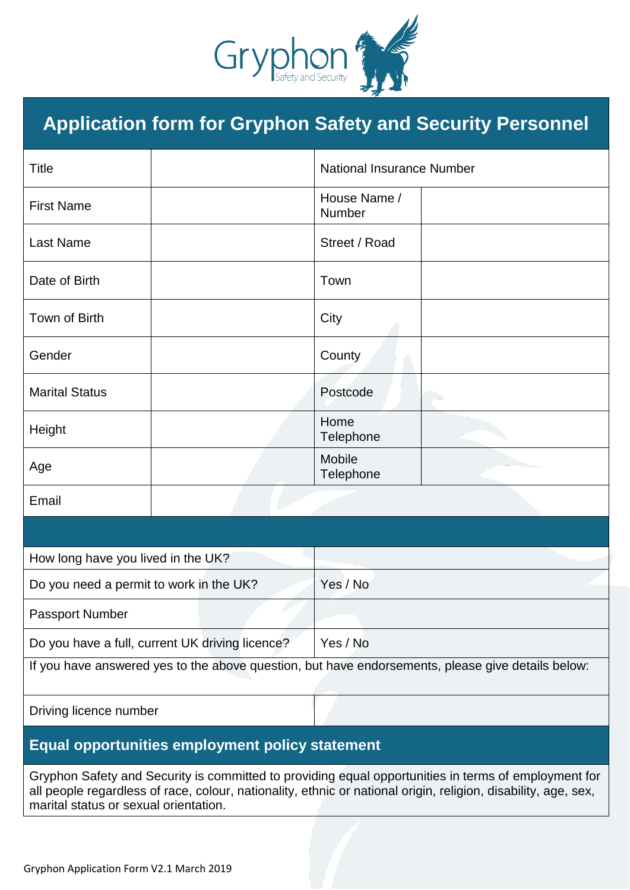

# **Application form for Gryphon Safety and Security Personnel**

| <b>Title</b>                                                                                      |  |  | <b>National Insurance Number</b> |  |
|---------------------------------------------------------------------------------------------------|--|--|----------------------------------|--|
| <b>First Name</b>                                                                                 |  |  | House Name /<br>Number           |  |
| <b>Last Name</b>                                                                                  |  |  | Street / Road                    |  |
| Date of Birth                                                                                     |  |  | Town                             |  |
| Town of Birth                                                                                     |  |  | City                             |  |
| Gender                                                                                            |  |  | County                           |  |
| <b>Marital Status</b>                                                                             |  |  | Postcode                         |  |
| Height                                                                                            |  |  | Home<br>Telephone                |  |
| Age                                                                                               |  |  | <b>Mobile</b><br>Telephone       |  |
| Email                                                                                             |  |  |                                  |  |
|                                                                                                   |  |  |                                  |  |
| How long have you lived in the UK?                                                                |  |  |                                  |  |
| Do you need a permit to work in the UK?                                                           |  |  | Yes / No                         |  |
| Passport Number                                                                                   |  |  |                                  |  |
| Do you have a full, current UK driving licence?                                                   |  |  | Yes / No                         |  |
| If you have answered yes to the above question, but have endorsements, please give details below: |  |  |                                  |  |
| Driving licence number                                                                            |  |  |                                  |  |

### **Equal opportunities employment policy statement**

Gryphon Safety and Security is committed to providing equal opportunities in terms of employment for all people regardless of race, colour, nationality, ethnic or national origin, religion, disability, age, sex, marital status or sexual orientation.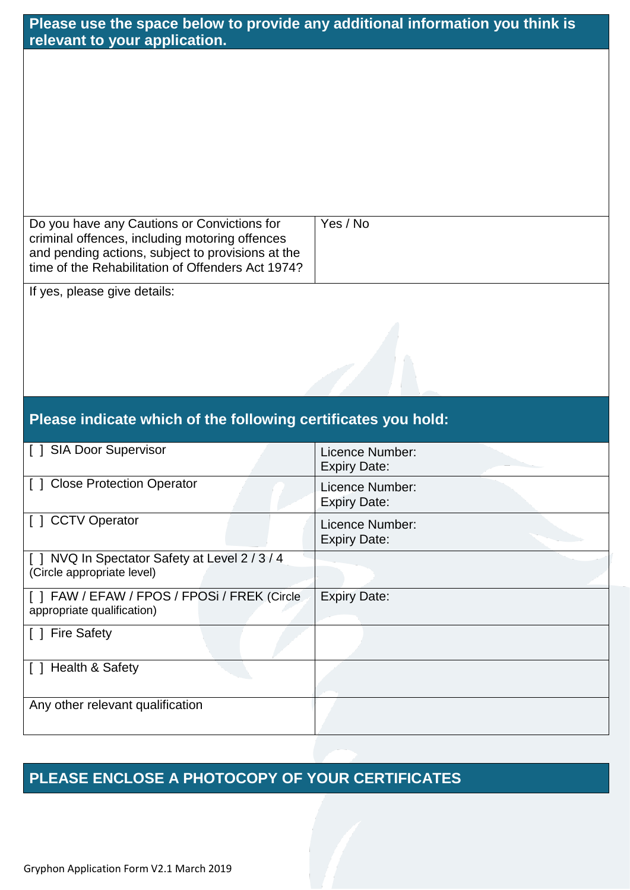| Please use the space below to provide any additional information you think is<br>relevant to your application.                                                                                          |                                                               |  |  |  |
|---------------------------------------------------------------------------------------------------------------------------------------------------------------------------------------------------------|---------------------------------------------------------------|--|--|--|
|                                                                                                                                                                                                         |                                                               |  |  |  |
|                                                                                                                                                                                                         |                                                               |  |  |  |
|                                                                                                                                                                                                         |                                                               |  |  |  |
|                                                                                                                                                                                                         |                                                               |  |  |  |
|                                                                                                                                                                                                         |                                                               |  |  |  |
|                                                                                                                                                                                                         | Yes / No                                                      |  |  |  |
| Do you have any Cautions or Convictions for<br>criminal offences, including motoring offences<br>and pending actions, subject to provisions at the<br>time of the Rehabilitation of Offenders Act 1974? |                                                               |  |  |  |
| If yes, please give details:                                                                                                                                                                            |                                                               |  |  |  |
|                                                                                                                                                                                                         |                                                               |  |  |  |
|                                                                                                                                                                                                         |                                                               |  |  |  |
|                                                                                                                                                                                                         |                                                               |  |  |  |
|                                                                                                                                                                                                         |                                                               |  |  |  |
|                                                                                                                                                                                                         |                                                               |  |  |  |
| Please indicate which of the following certificates you hold:                                                                                                                                           |                                                               |  |  |  |
| [ ] SIA Door Supervisor                                                                                                                                                                                 | Licence Number:                                               |  |  |  |
| [] Close Protection Operator                                                                                                                                                                            | <b>Expiry Date:</b><br>Licence Number:<br><b>Expiry Date:</b> |  |  |  |
| [ ] CCTV Operator                                                                                                                                                                                       | Licence Number:<br><b>Expiry Date:</b>                        |  |  |  |
| [ ] NVQ In Spectator Safety at Level 2 / 3 / 4<br>(Circle appropriate level)                                                                                                                            |                                                               |  |  |  |
| [ ] FAW / EFAW / FPOS / FPOSi / FREK (Circle<br>appropriate qualification)                                                                                                                              | <b>Expiry Date:</b>                                           |  |  |  |
| [ ] Fire Safety                                                                                                                                                                                         |                                                               |  |  |  |
| [ ] Health & Safety                                                                                                                                                                                     |                                                               |  |  |  |
| Any other relevant qualification                                                                                                                                                                        |                                                               |  |  |  |

## **PLEASE ENCLOSE A PHOTOCOPY OF YOUR CERTIFICATES**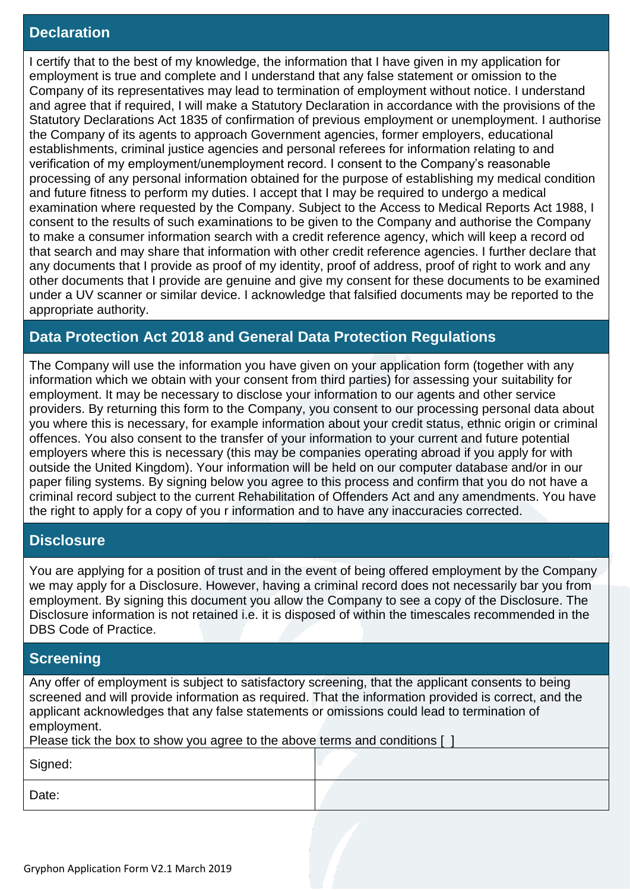#### **Declaration**

I certify that to the best of my knowledge, the information that I have given in my application for employment is true and complete and I understand that any false statement or omission to the Company of its representatives may lead to termination of employment without notice. I understand and agree that if required, I will make a Statutory Declaration in accordance with the provisions of the Statutory Declarations Act 1835 of confirmation of previous employment or unemployment. I authorise the Company of its agents to approach Government agencies, former employers, educational establishments, criminal justice agencies and personal referees for information relating to and verification of my employment/unemployment record. I consent to the Company's reasonable processing of any personal information obtained for the purpose of establishing my medical condition and future fitness to perform my duties. I accept that I may be required to undergo a medical examination where requested by the Company. Subject to the Access to Medical Reports Act 1988, I consent to the results of such examinations to be given to the Company and authorise the Company to make a consumer information search with a credit reference agency, which will keep a record od that search and may share that information with other credit reference agencies. I further declare that any documents that I provide as proof of my identity, proof of address, proof of right to work and any other documents that I provide are genuine and give my consent for these documents to be examined under a UV scanner or similar device. I acknowledge that falsified documents may be reported to the appropriate authority.

### **Data Protection Act 2018 and General Data Protection Regulations**

The Company will use the information you have given on your application form (together with any information which we obtain with your consent from third parties) for assessing your suitability for employment. It may be necessary to disclose your information to our agents and other service providers. By returning this form to the Company, you consent to our processing personal data about you where this is necessary, for example information about your credit status, ethnic origin or criminal offences. You also consent to the transfer of your information to your current and future potential employers where this is necessary (this may be companies operating abroad if you apply for with outside the United Kingdom). Your information will be held on our computer database and/or in our paper filing systems. By signing below you agree to this process and confirm that you do not have a criminal record subject to the current Rehabilitation of Offenders Act and any amendments. You have the right to apply for a copy of you r information and to have any inaccuracies corrected.

#### **Disclosure**

You are applying for a position of trust and in the event of being offered employment by the Company we may apply for a Disclosure. However, having a criminal record does not necessarily bar you from employment. By signing this document you allow the Company to see a copy of the Disclosure. The Disclosure information is not retained i.e. it is disposed of within the timescales recommended in the DBS Code of Practice.

#### **Screening**

Any offer of employment is subject to satisfactory screening, that the applicant consents to being screened and will provide information as required. That the information provided is correct, and the applicant acknowledges that any false statements or omissions could lead to termination of employment.

| Please tick the box to show you agree to the above terms and conditions [ |  |  |  |  |
|---------------------------------------------------------------------------|--|--|--|--|
| Signed:                                                                   |  |  |  |  |
| Date:                                                                     |  |  |  |  |